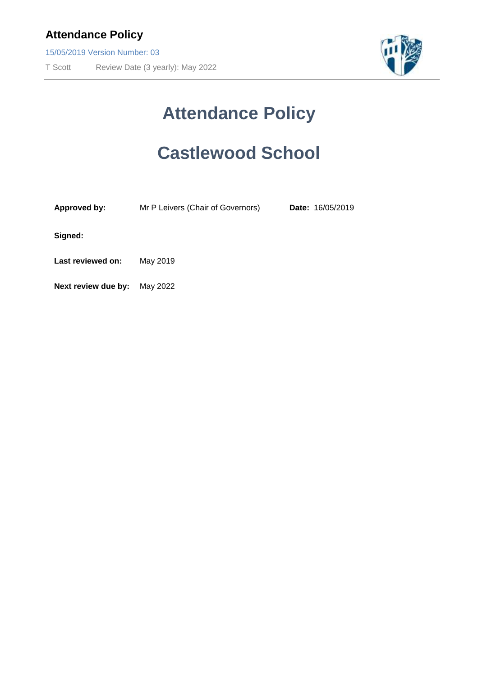15/05/2019 Version Number: 03

T Scott Review Date (3 yearly): May 2022



# **Attendance Policy**

# **Castlewood School**

| <b>Approved by:</b> | Mr P Leivers (Chair of Governors) | Date: 16/05/2019 |
|---------------------|-----------------------------------|------------------|
|                     |                                   |                  |

**Signed:**

**Last reviewed on:** May 2019

**Next review due by:** May 2022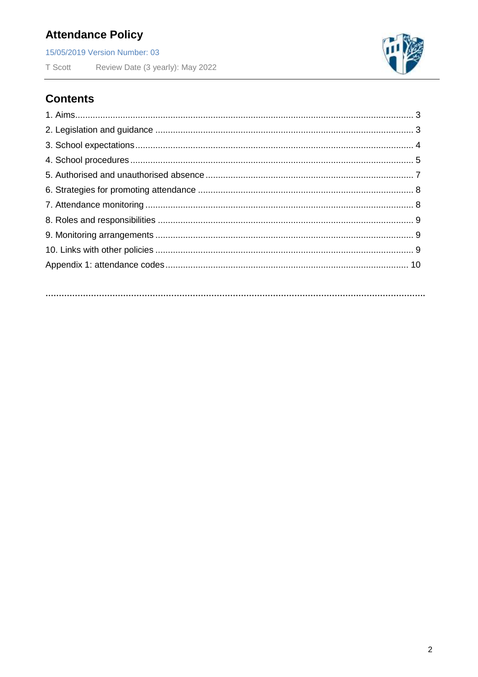15/05/2019 Version Number: 03

T Scott Review Date (3 yearly): May 2022



## **Contents**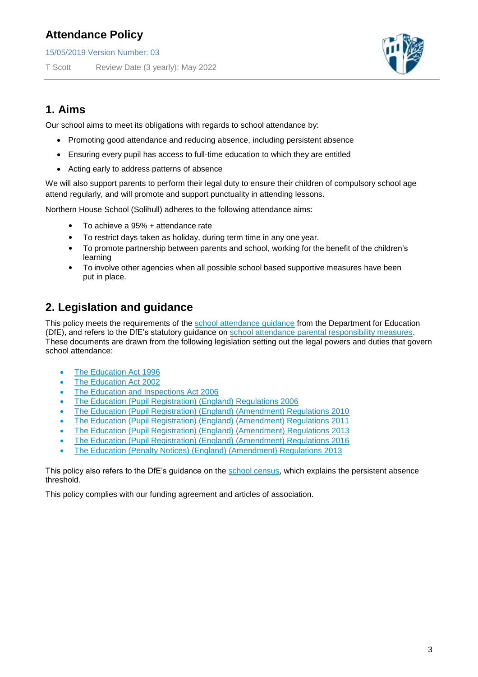15/05/2019 Version Number: 03

T Scott Review Date (3 yearly): May 2022



## **1. Aims**

Our school aims to meet its obligations with regards to school attendance by:

- Promoting good attendance and reducing absence, including persistent absence
- Ensuring every pupil has access to full-time education to which they are entitled
- Acting early to address patterns of absence

We will also support parents to perform their legal duty to ensure their children of compulsory school age attend regularly, and will promote and support punctuality in attending lessons.

Northern House School (Solihull) adheres to the following attendance aims:

- To achieve a 95% + attendance rate
- To restrict days taken as holiday, during term time in any one year.
- To promote partnership between parents and school, working for the benefit of the children's learning
- To involve other agencies when all possible school based supportive measures have been put in place.

## **2. Legislation and guidance**

This policy meets the requirements of the [school attendance guidance](https://www.gov.uk/government/publications/school-attendance) from the Department for Education (DfE), and refers to the DfE's statutory guidance on [school attendance parental responsibility measures.](https://www.gov.uk/government/publications/parental-responsibility-measures-for-behaviour-and-attendance) These documents are drawn from the following legislation setting out the legal powers and duties that govern school attendance:

- [The Education Act 1996](https://www.legislation.gov.uk/ukpga/1996/56/part/VI/chapter/II)
- [The Education Act 2002](http://www.legislation.gov.uk/ukpga/2002/32/part/3/chapter/3)
- [The Education and Inspections Act 2006](http://www.legislation.gov.uk/ukpga/2006/40/part/7/chapter/2/crossheading/school-attendance)
- [The Education \(Pupil Registration\) \(England\) Regulations 2006](http://www.legislation.gov.uk/uksi/2006/1751/contents/made)
- [The Education \(Pupil Registration\) \(England\) \(Amendment\) Regulations 2010](http://www.centralbedfordshire.gov.uk/Images/amendment-regulation-2010_tcm3-8642.pdf)
- [The Education \(Pupil Registration\) \(England\) \(Amendment\) Regulations 2011](http://www.legislation.gov.uk/uksi/2011/1625/made)
- [The Education \(Pupil Registration\) \(England\) \(Amendment\) Regulations 2013](http://www.legislation.gov.uk/uksi/2013/756/made)
- [The Education \(Pupil Registration\) \(England\) \(Amendment\) Regulations 2016](http://legislation.data.gov.uk/uksi/2016/792/made/data.html)
- [The Education \(Penalty Notices\) \(England\) \(Amendment\) Regulations 2013](http://www.legislation.gov.uk/uksi/2013/756/pdfs/uksiem_20130756_en.pdf)

This policy also refers to the DfE's guidance on the [school census,](https://www.gov.uk/government/publications/school-census-2017-to-2018-guide-for-schools-and-las) which explains the persistent absence threshold.

This policy complies with our funding agreement and articles of association.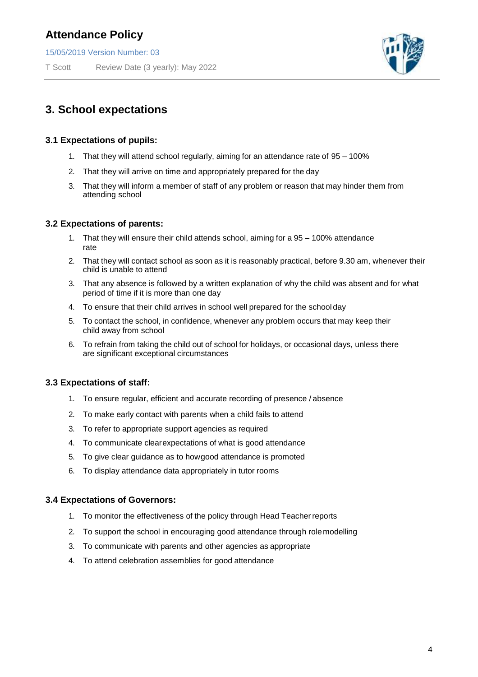15/05/2019 Version Number: 03

T Scott Review Date (3 yearly): May 2022



### **3. School expectations**

#### **3.1 Expectations of pupils:**

- 1. That they will attend school regularly, aiming for an attendance rate of 95 100%
- 2. That they will arrive on time and appropriately prepared for the day
- 3. That they will inform a member of staff of any problem or reason that may hinder them from attending school

#### **3.2 Expectations of parents:**

- 1. That they will ensure their child attends school, aiming for a 95 100% attendance rate
- 2. That they will contact school as soon as it is reasonably practical, before 9.30 am, whenever their child is unable to attend
- 3. That any absence is followed by a written explanation of why the child was absent and for what period of time if it is more than one day
- 4. To ensure that their child arrives in school well prepared for the schoolday
- 5. To contact the school, in confidence, whenever any problem occurs that may keep their child away from school
- 6. To refrain from taking the child out of school for holidays, or occasional days, unless there are significant exceptional circumstances

#### **3.3 Expectations of staff:**

- 1. To ensure regular, efficient and accurate recording of presence / absence
- 2. To make early contact with parents when a child fails to attend
- 3. To refer to appropriate support agencies as required
- 4. To communicate clear expectations of what is good attendance
- 5. To give clear guidance as to how good attendance is promoted
- 6. To display attendance data appropriately in tutor rooms

#### **3.4 Expectations of Governors:**

- 1. To monitor the effectiveness of the policy through Head Teacherreports
- 2. To support the school in encouraging good attendance through rolemodelling
- 3. To communicate with parents and other agencies as appropriate
- 4. To attend celebration assemblies for good attendance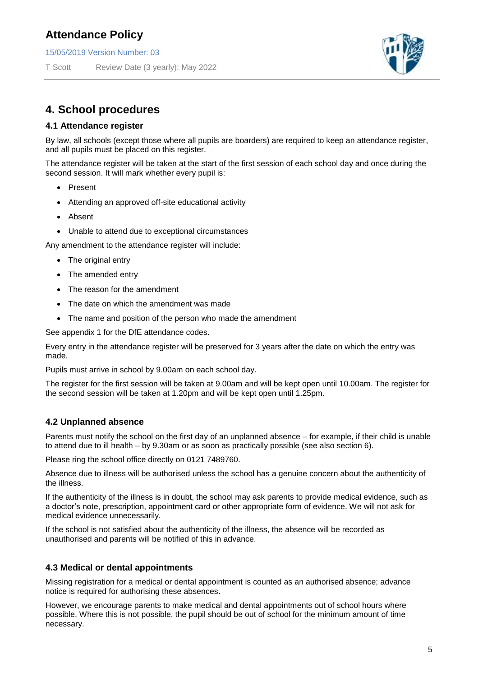15/05/2019 Version Number: 03

T Scott Review Date (3 yearly): May 2022



### **4. School procedures**

#### **4.1 Attendance register**

By law, all schools (except those where all pupils are boarders) are required to keep an attendance register, and all pupils must be placed on this register.

The attendance register will be taken at the start of the first session of each school day and once during the second session. It will mark whether every pupil is:

- Present
- Attending an approved off-site educational activity
- Absent
- Unable to attend due to exceptional circumstances

Any amendment to the attendance register will include:

- The original entry
- The amended entry
- The reason for the amendment
- The date on which the amendment was made
- The name and position of the person who made the amendment

See appendix 1 for the DfE attendance codes.

Every entry in the attendance register will be preserved for 3 years after the date on which the entry was made.

Pupils must arrive in school by 9.00am on each school day.

The register for the first session will be taken at 9.00am and will be kept open until 10.00am. The register for the second session will be taken at 1.20pm and will be kept open until 1.25pm.

#### **4.2 Unplanned absence**

Parents must notify the school on the first day of an unplanned absence – for example, if their child is unable to attend due to ill health – by 9.30am or as soon as practically possible (see also section 6).

Please ring the school office directly on 0121 7489760.

Absence due to illness will be authorised unless the school has a genuine concern about the authenticity of the illness.

If the authenticity of the illness is in doubt, the school may ask parents to provide medical evidence, such as a doctor's note, prescription, appointment card or other appropriate form of evidence. We will not ask for medical evidence unnecessarily.

If the school is not satisfied about the authenticity of the illness, the absence will be recorded as unauthorised and parents will be notified of this in advance.

#### **4.3 Medical or dental appointments**

Missing registration for a medical or dental appointment is counted as an authorised absence; advance notice is required for authorising these absences.

However, we encourage parents to make medical and dental appointments out of school hours where possible. Where this is not possible, the pupil should be out of school for the minimum amount of time necessary.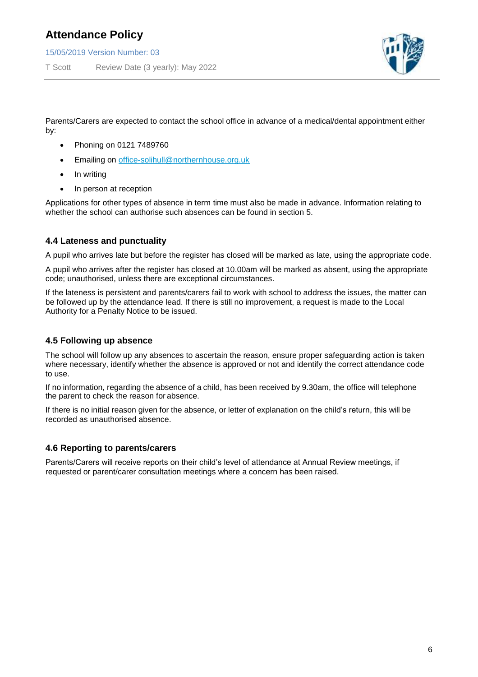15/05/2019 Version Number: 03

T Scott Review Date (3 yearly): May 2022



Parents/Carers are expected to contact the school office in advance of a medical/dental appointment either by:

- Phoning on 0121 7489760
- Emailing on [office-solihull@northernhouse.org.uk](mailto:office-solihull@northernhouse.org.uk)
- In writing
- In person at reception

Applications for other types of absence in term time must also be made in advance. Information relating to whether the school can authorise such absences can be found in section 5.

#### **4.4 Lateness and punctuality**

A pupil who arrives late but before the register has closed will be marked as late, using the appropriate code.

A pupil who arrives after the register has closed at 10.00am will be marked as absent, using the appropriate code; unauthorised, unless there are exceptional circumstances.

If the lateness is persistent and parents/carers fail to work with school to address the issues, the matter can be followed up by the attendance lead. If there is still no improvement, a request is made to the Local Authority for a Penalty Notice to be issued.

#### **4.5 Following up absence**

The school will follow up any absences to ascertain the reason, ensure proper safeguarding action is taken where necessary, identify whether the absence is approved or not and identify the correct attendance code to use.

If no information, regarding the absence of a child, has been received by 9.30am, the office will telephone the parent to check the reason for absence.

If there is no initial reason given for the absence, or letter of explanation on the child's return, this will be recorded as unauthorised absence.

#### **4.6 Reporting to parents/carers**

Parents/Carers will receive reports on their child's level of attendance at Annual Review meetings, if requested or parent/carer consultation meetings where a concern has been raised.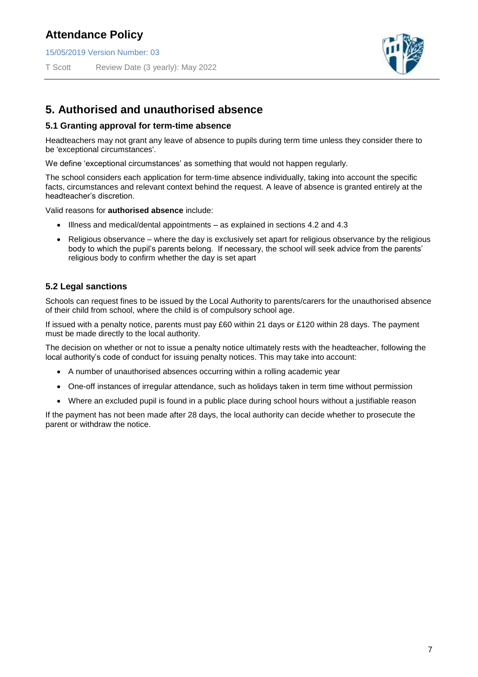15/05/2019 Version Number: 03

T Scott Review Date (3 yearly): May 2022



### **5. Authorised and unauthorised absence**

#### **5.1 Granting approval for term-time absence**

Headteachers may not grant any leave of absence to pupils during term time unless they consider there to be 'exceptional circumstances'.

We define 'exceptional circumstances' as something that would not happen regularly.

The school considers each application for term-time absence individually, taking into account the specific facts, circumstances and relevant context behind the request. A leave of absence is granted entirely at the headteacher's discretion.

Valid reasons for **authorised absence** include:

- Illness and medical/dental appointments as explained in sections 4.2 and 4.3
- Religious observance where the day is exclusively set apart for religious observance by the religious body to which the pupil's parents belong. If necessary, the school will seek advice from the parents' religious body to confirm whether the day is set apart

#### **5.2 Legal sanctions**

Schools can request fines to be issued by the Local Authority to parents/carers for the unauthorised absence of their child from school, where the child is of compulsory school age.

If issued with a penalty notice, parents must pay £60 within 21 days or £120 within 28 days. The payment must be made directly to the local authority.

The decision on whether or not to issue a penalty notice ultimately rests with the headteacher, following the local authority's code of conduct for issuing penalty notices. This may take into account:

- A number of unauthorised absences occurring within a rolling academic year
- One-off instances of irregular attendance, such as holidays taken in term time without permission
- Where an excluded pupil is found in a public place during school hours without a justifiable reason

If the payment has not been made after 28 days, the local authority can decide whether to prosecute the parent or withdraw the notice.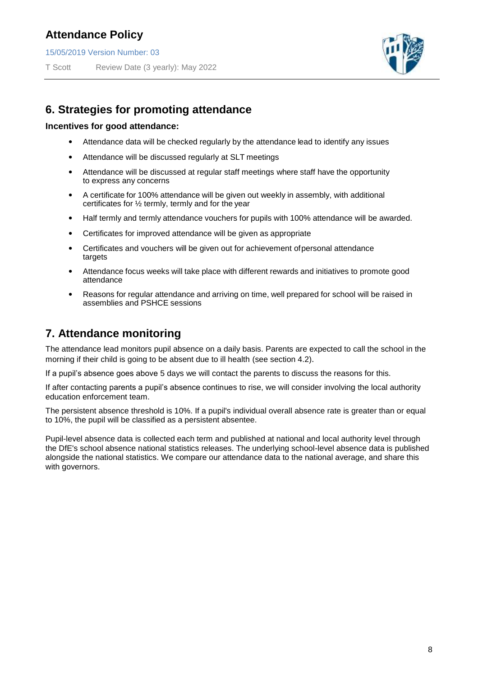15/05/2019 Version Number: 03

T Scott Review Date (3 yearly): May 2022



## **6. Strategies for promoting attendance**

#### **Incentives for good attendance:**

- Attendance data will be checked regularly by the attendance lead to identify any issues
- Attendance will be discussed regularly at SLT meetings
- Attendance will be discussed at regular staff meetings where staff have the opportunity to express any concerns
- A certificate for 100% attendance will be given out weekly in assembly, with additional certificates for ½ termly, termly and for the year
- Half termly and termly attendance vouchers for pupils with 100% attendance will be awarded.
- Certificates for improved attendance will be given as appropriate
- Certificates and vouchers will be given out for achievement of personal attendance targets
- Attendance focus weeks will take place with different rewards and initiatives to promote good attendance
- Reasons for regular attendance and arriving on time, well prepared for school will be raised in assemblies and PSHCE sessions

## **7. Attendance monitoring**

The attendance lead monitors pupil absence on a daily basis. Parents are expected to call the school in the morning if their child is going to be absent due to ill health (see section 4.2).

If a pupil's absence goes above 5 days we will contact the parents to discuss the reasons for this.

If after contacting parents a pupil's absence continues to rise, we will consider involving the local authority education enforcement team.

The persistent absence threshold is 10%. If a pupil's individual overall absence rate is greater than or equal to 10%, the pupil will be classified as a persistent absentee.

Pupil-level absence data is collected each term and published at national and local authority level through the DfE's school absence national statistics releases. The underlying school-level absence data is published alongside the national statistics. We compare our attendance data to the national average, and share this with governors.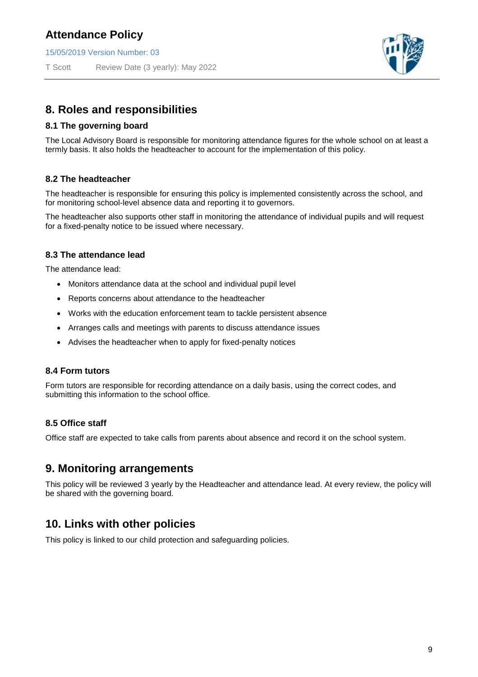15/05/2019 Version Number: 03

T Scott Review Date (3 yearly): May 2022



### **8. Roles and responsibilities**

#### **8.1 The governing board**

The Local Advisory Board is responsible for monitoring attendance figures for the whole school on at least a termly basis. It also holds the headteacher to account for the implementation of this policy.

#### **8.2 The headteacher**

The headteacher is responsible for ensuring this policy is implemented consistently across the school, and for monitoring school-level absence data and reporting it to governors.

The headteacher also supports other staff in monitoring the attendance of individual pupils and will request for a fixed-penalty notice to be issued where necessary.

#### **8.3 The attendance lead**

The attendance lead:

- Monitors attendance data at the school and individual pupil level
- Reports concerns about attendance to the headteacher
- Works with the education enforcement team to tackle persistent absence
- Arranges calls and meetings with parents to discuss attendance issues
- Advises the headteacher when to apply for fixed-penalty notices

#### **8.4 Form tutors**

Form tutors are responsible for recording attendance on a daily basis, using the correct codes, and submitting this information to the school office.

#### **8.5 Office staff**

Office staff are expected to take calls from parents about absence and record it on the school system.

#### **9. Monitoring arrangements**

This policy will be reviewed 3 yearly by the Headteacher and attendance lead. At every review, the policy will be shared with the governing board.

## **10. Links with other policies**

This policy is linked to our child protection and safeguarding policies.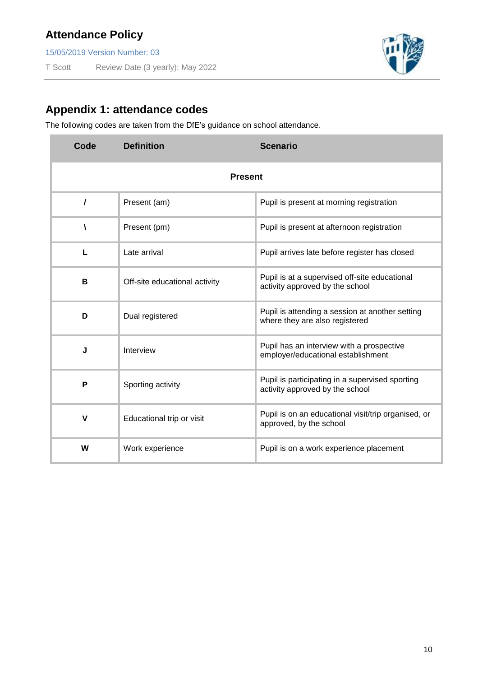15/05/2019 Version Number: 03

T Scott Review Date (3 yearly): May 2022



## **Appendix 1: attendance codes**

The following codes are taken from the DfE's guidance on school attendance.

| Code           | <b>Definition</b>             | <b>Scenario</b>                                                                    |  |  |
|----------------|-------------------------------|------------------------------------------------------------------------------------|--|--|
| <b>Present</b> |                               |                                                                                    |  |  |
| 1              | Present (am)                  | Pupil is present at morning registration                                           |  |  |
| V              | Present (pm)                  | Pupil is present at afternoon registration                                         |  |  |
| L              | Late arrival                  | Pupil arrives late before register has closed                                      |  |  |
| B              | Off-site educational activity | Pupil is at a supervised off-site educational<br>activity approved by the school   |  |  |
| D              | Dual registered               | Pupil is attending a session at another setting<br>where they are also registered  |  |  |
| J              | Interview                     | Pupil has an interview with a prospective<br>employer/educational establishment    |  |  |
| P              | Sporting activity             | Pupil is participating in a supervised sporting<br>activity approved by the school |  |  |
| V              | Educational trip or visit     | Pupil is on an educational visit/trip organised, or<br>approved, by the school     |  |  |
| W              | Work experience               | Pupil is on a work experience placement                                            |  |  |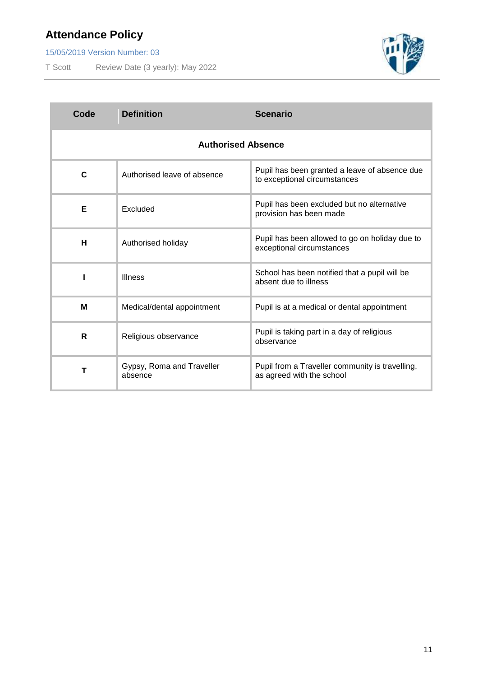15/05/2019 Version Number: 03

T Scott Review Date (3 yearly): May 2022



| Code                      | <b>Definition</b>                    | <b>Scenario</b>                                                               |  |  |
|---------------------------|--------------------------------------|-------------------------------------------------------------------------------|--|--|
| <b>Authorised Absence</b> |                                      |                                                                               |  |  |
| C                         | Authorised leave of absence          | Pupil has been granted a leave of absence due<br>to exceptional circumstances |  |  |
| Е                         | Excluded                             | Pupil has been excluded but no alternative<br>provision has been made         |  |  |
| н                         | Authorised holiday                   | Pupil has been allowed to go on holiday due to<br>exceptional circumstances   |  |  |
|                           | <b>Illness</b>                       | School has been notified that a pupil will be<br>absent due to illness        |  |  |
| M                         | Medical/dental appointment           | Pupil is at a medical or dental appointment                                   |  |  |
| R                         | Religious observance                 | Pupil is taking part in a day of religious<br>observance                      |  |  |
| Т                         | Gypsy, Roma and Traveller<br>absence | Pupil from a Traveller community is travelling,<br>as agreed with the school  |  |  |